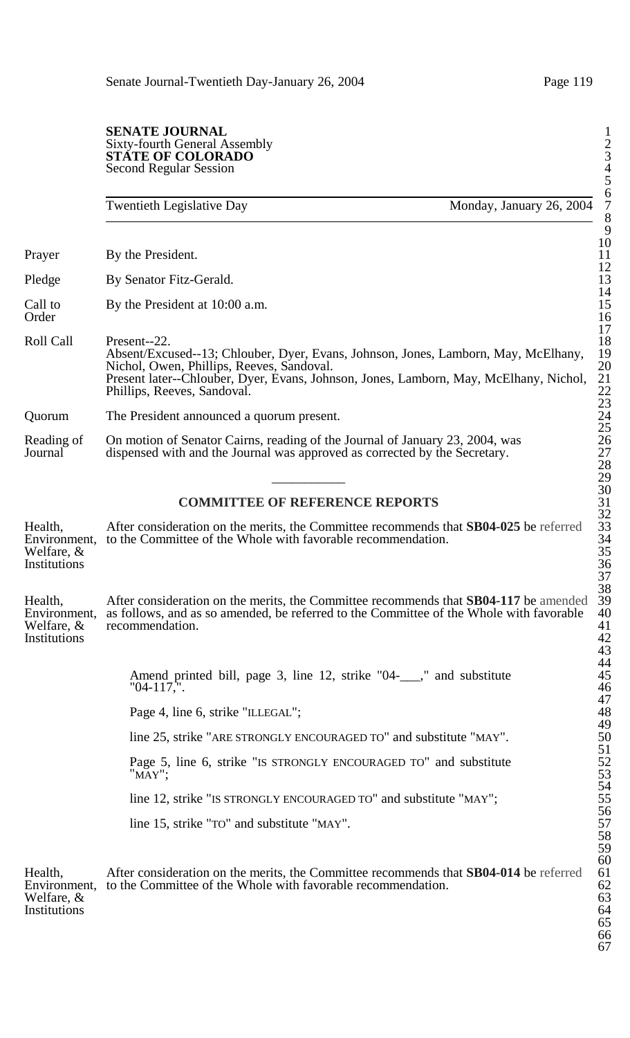#### **SENATE JOURNAL** Sixty-fourth General Assembly 2 **STATE OF COLORADO** 3 Second Regular Session 4

Twentieth Legislative Day Monday, January 26, 2004 Prayer By the President. Pledge By Senator Fitz-Gerald. Call to By the President at 10:00 a.m.<br>Order Order 16 Roll Call Present--22. 18 Absent/Excused--13; Chlouber, Dyer, Evans, Johnson, Jones, Lamborn, May, McElhany, 19 Nichol, Owen, Phillips, Reeves, Sandoval. 20 Present later--Chlouber, Dyer, Evans, Johnson, Jones, Lamborn, May, McElhany, Nichol, 21 Phillips, Reeves, Sandoval. Quorum The President announced a quorum present. Reading of On motion of Senator Cairns, reading of the Journal of January 23, 2004, was dispensed with and the Journal was approved as corrected by the Secretary. dispensed with and the Journal was approved as corrected by the Secretary.  $\overline{\phantom{a}29}$ 

# **COMMITTEE OF REFERENCE REPORTS**

Health, After consideration on the merits, the Committee recommends that **SB04-025** be referred 33 Environment, to the Committee of the Whole with favorable recommendation. 34 Welfare,  $\&$  35 Institutions 36

Health, After consideration on the merits, the Committee recommends that SB04-117 be amended 39 Environment, as follows, and as so amended, be referred to the Committee of the Whole with favorable 40 Welfare, & recommendation. 41 Institutions 42

> Amend printed bill, page 3, line 12, strike "04- $\ldots$ ," and substitute "04-117,". "04-117,". 46

Page 4, line 6, strike "ILLEGAL";

line 25, strike "ARE STRONGLY ENCOURAGED TO" and substitute "MAY".

Page 5, line 6, strike "IS STRONGLY ENCOURAGED TO" and substitute "MAY";

line 12, strike "IS STRONGLY ENCOURAGED TO" and substitute "MAY";

line 15, strike "TO" and substitute "MAY".

Health, After consideration on the merits, the Committee recommends that SB04-014 be referred 61 Environment, to the Committee of the Whole with favorable recommendation. 62 Welfare,  $\&$  63 Institutions 64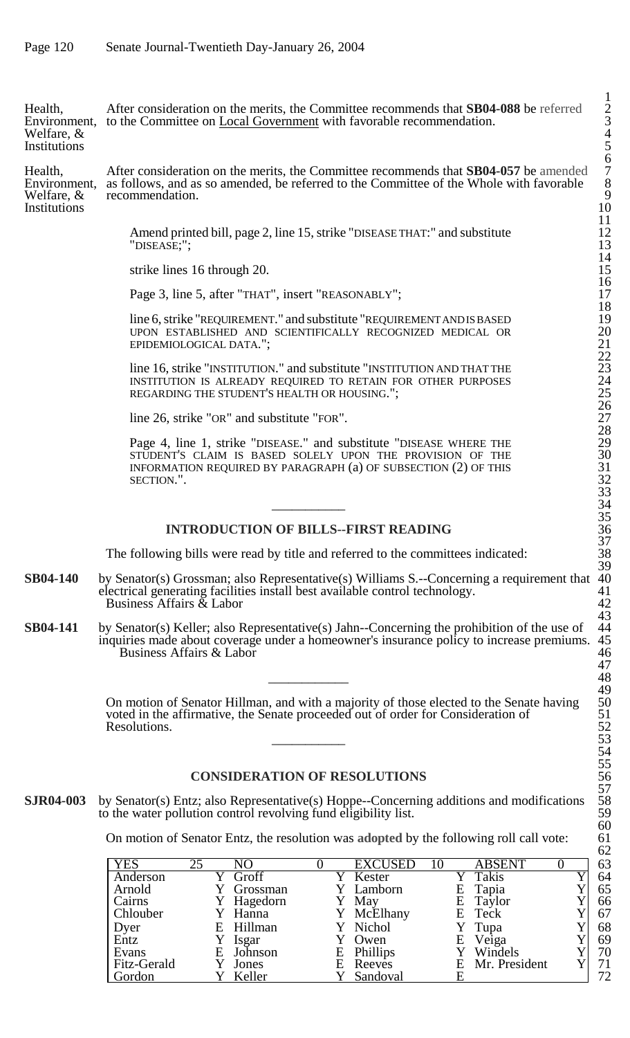Health, After consideration on the merits, the Committee recommends that **SB04-088** be referred 2 Environment, to the Committee on Local Government with favorable recommendation. 3 Welfare,  $\&$  4 Institutions 5

Health, After consideration on the merits, the Committee recommends that **SB04-057** be amended 7 Environment, as follows, and as so amended, be referred to the Committee of the Whole with favorable 8 Welfare, & recommendation. 9 Institutions 10

Amend printed bill, page 2, line 15, strike "DISEASE THAT:" and substitute 12<br>"DISEASE;"; 13

strike lines 16 through 20.

Page 3, line 5, after "THAT", insert "REASONABLY";

line 6, strike "REQUIREMENT." and substitute "REQUIREMENT AND IS BASED UPON ESTABLISHED AND SCIENTIFICALLY RECOGNIZED MEDICAL OR 20 EPIDEMIOLOGICAL DATA.";

line 16, strike "INSTITUTION." and substitute "INSTITUTION AND THAT THE INSTITUTION IS ALREADY REQUIRED TO RETAIN FOR OTHER PURPOSES REGARDING THE STUDENT'S HEALTH OR HOUSING.'

line 26, strike "OR" and substitute "FOR".

Page 4, line 1, strike "DISEASE." and substitute "DISEASE WHERE THE 29 STUDENT'S CLAIM IS BASED SOLELY UPON THE PROVISION OF THE 30 INFORMATION REQUIRED BY PARAGRAPH  $(a)$  OF SUBSECTION  $(2)$  OF THIS SECTION.". 32

### **INTRODUCTION OF BILLS--FIRST READING**

The following bills were read by title and referred to the committees indicated: 38

- **SB04-140** by Senator(s) Grossman; also Representative(s) Williams S.--Concerning a requirement that 40 electrical generating facilities install best available control technology. 41 electrical generating facilities install best available control technology. 41<br>Business Affairs & Labor 42 Business Affairs  $\&$  Labor
- **SB04-141** by Senator(s) Keller; also Representative(s) Jahn--Concerning the prohibition of the use of 44 inquiries made about coverage under a homeowner's insurance policy to increase premiums. 45 inquiries made about coverage under a homeowner's insurance policy to increase premiums. 45<br>Business Affairs & Labor 46 Business Affairs & Labor 46

On motion of Senator Hillman, and with a majority of those elected to the Senate having voted in the affirmative, the Senate proceeded out of order for Consideration of Resolutions.  $\overline{\phantom{a}53}$ 

# **CONSIDERATION OF RESOLUTIONS**

**SJR04-003** by Senator(s) Entz; also Representative(s) Hoppe--Concerning additions and modifications 58 to the water pollution control revolving fund eligibility list. to the water pollution control revolving fund eligibility list.

On motion of Senator Entz, the resolution was **adopted** by the following roll call vote: 61

| <b>YES</b>      | 25 | NŌ         |    | <b>EXCUSED</b> |   | <b>ABSENT</b> | 63 |
|-----------------|----|------------|----|----------------|---|---------------|----|
| Anderson        |    | Groff      |    | Kester         |   | Takis         | 64 |
| Arnold          |    | Grossman   |    | Y Lamborn      | Ε | Tapia         | 65 |
| Cairns          |    | Y Hagedorn |    | May            |   | E Taylor      | 66 |
| <b>Chlouber</b> |    | Y Hanna    |    | McElhany       |   | E Teck        | 67 |
|                 |    | E Hillman  |    | Nichol         |   | Y Tupa        | 68 |
| Dyer<br>Entz    |    | Isgar      |    | Owen           | E | Veiga         | 69 |
| Evans           |    | E Johnson  | E  | Phillips       |   | Y Windels     | 70 |
| Fitz-Gerald     |    | Jones      | E. | Reeves         | E | Mr. President | 71 |
| Gordon          |    | Keller     |    | Sandoval       |   |               | 72 |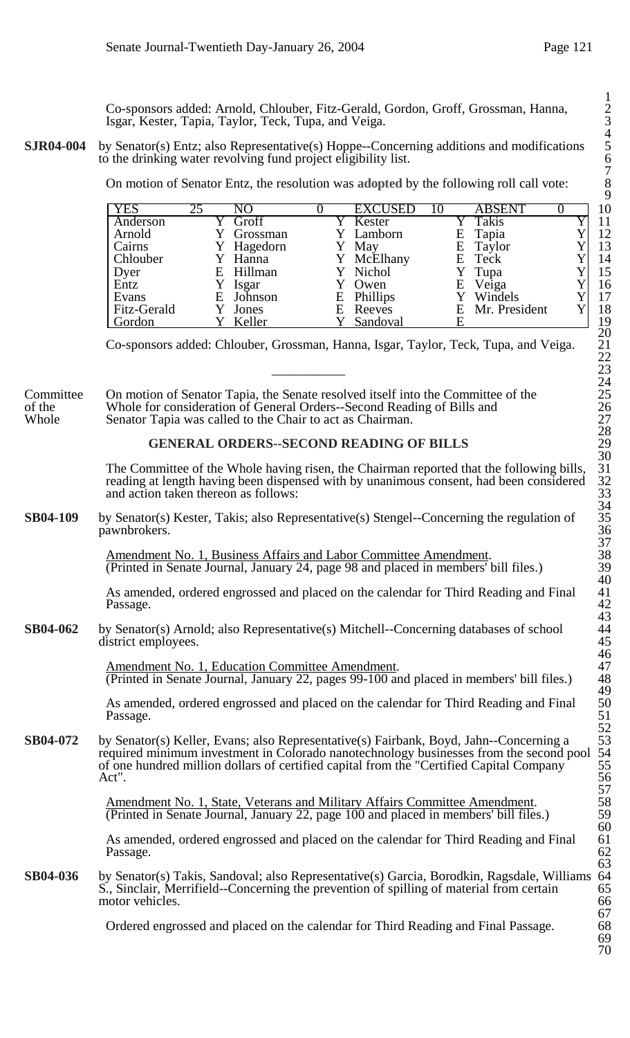Co-sponsors added: Arnold, Chlouber, Fitz-Gerald, Gordon, Groff, Grossman, Hanna, 2 Isgar, Kester, Tapia, Taylor, Teck, Tupa, and Veiga. 3

**SJR04-004** by Senator(s) Entz; also Representative(s) Hoppe--Concerning additions and modifications to the drinking water revolving fund project eligibility list.

On motion of Senator Entz, the resolution was **adopted** by the following roll call vote: 8

| <b>YES</b>      | 25 | NΟ         |   | <b>EXCUSED</b> |   | <b>ABSENT</b>   |  |
|-----------------|----|------------|---|----------------|---|-----------------|--|
| Anderson        |    | Groff      |   | Kester         |   | Takis           |  |
| Arnold          |    | Grossman   |   | Y Lamborn      | Е | Tapia           |  |
| Cairns          |    | Y Hagedorn |   | May            |   | E Taylor        |  |
| <b>Chlouber</b> |    | Y Hanna    |   | Y McElhany     |   | E Teck          |  |
| Dyer            |    | E Hillman  |   | Y Nichol       |   | Y Tupa          |  |
| Entz            |    | Isgar      |   | Owen           | E | Veiga           |  |
| Evans           |    | E Johnson  |   | E Phillips     |   | Windels         |  |
| Fitz-Gerald     |    | Jones      | Ε | Reeves         |   | E Mr. President |  |
| Gordon          |    | Keller     |   | Sandoval       |   |                 |  |

Co-sponsors added: Chlouber, Grossman, Hanna, Isgar, Taylor, Teck, Tupa, and Veiga. 21

Committee On motion of Senator Tapia, the Senate resolved itself into the Committee of the Whole for consideration of General Orders--Second Reading of Bills and of the Whole for consideration of General Orders--Second Reading of Bills and<br>Whole Senator Tapia was called to the Chair to act as Chairman. Senator Tapia was called to the Chair to act as Chairman.

# **GENERAL ORDERS--SECOND READING OF BILLS**

The Committee of the Whole having risen, the Chairman reported that the following bills, reading at length having been dispensed with by unanimous consent, had been considered and action taken thereon as follows:

**SB04-109** by Senator(s) Kester, Takis; also Representative(s) Stengel--Concerning the regulation of pawnbrokers.

> Amendment No. 1, Business Affairs and Labor Committee Amendment. (Printed in Senate Journal, January 24, page 98 and placed in members' bill files.) 39

As amended, ordered engrossed and placed on the calendar for Third Reading and Final Passage. Passage. 42

**SB04-062** by Senator(s) Arnold; also Representative(s) Mitchell--Concerning databases of school 44 district employees. 45 district employees.

> Amendment No. 1, Education Committee Amendment. (Printed in Senate Journal, January 22, pages 99-100 and placed in members' bill files.) 48

As amended, ordered engrossed and placed on the calendar for Third Reading and Final 50<br>Passage. 51 Passage. 51

**SB04-072** by Senator(s) Keller, Evans; also Representative(s) Fairbank, Boyd, Jahn--Concerning a required minimum investment in Colorado nanotechnology businesses from the second pool 54 of one hundred million dollars of certified capital from the "Certified Capital Company 55 Act". 56

> Amendment No. 1, State, Veterans and Military Affairs Committee Amendment. 58<br>(Printed in Senate Journal, January 22, page 100 and placed in members' bill files.) 59 (Printed in Senate Journal, January 22, page 100 and placed in members' bill files.) 59

> As amended, ordered engrossed and placed on the calendar for Third Reading and Final 61<br>Passage. 62 Passage. 62

**SB04-036** by Senator(s) Takis, Sandoval; also Representative(s) Garcia, Borodkin, Ragsdale, Williams 64<br>S., Sinclair, Merrifield--Concerning the prevention of spilling of material from certain 65 S., Sinclair, Merrifield--Concerning the prevention of spilling of material from certain 65<br>motor vehicles. 66 motor vehicles.

Ordered engrossed and placed on the calendar for Third Reading and Final Passage.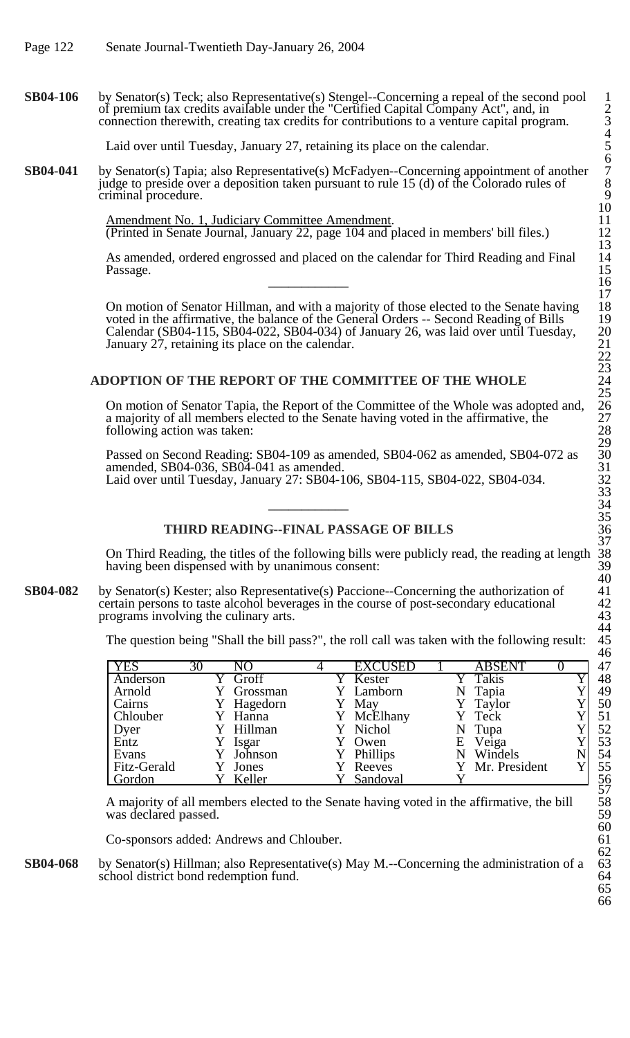**SB04-106** by Senator(s) Teck; also Representative(s) Stengel--Concerning a repeal of the second pool 1 of premium tax credits available under the "Certified Capital Company Act", and, in 2 connection therewith, creating tax credits for contributions to a venture capital program.

Laid over until Tuesday, January 27, retaining its place on the calendar.

**SB04-041** by Senator(s) Tapia; also Representative(s) McFadyen--Concerning appointment of another judge to preside over a deposition taken pursuant to rule  $15$  (d) of the Colorado rules of criminal procedure.

> Amendment No. 1, Judiciary Committee Amendment. (Printed in Senate Journal, January 22, page 104 and placed in members' bill files.) 12

As amended, ordered engrossed and placed on the calendar for Third Reading and Final Passage. Passage. 15  $\overline{\phantom{a}16}$ 

On motion of Senator Hillman, and with a majority of those elected to the Senate having 18 voted in the affirmative, the balance of the General Orders -- Second Reading of Bills 19 Calendar (SB04-115, SB04-022, SB04-034) of January 26, was laid over until Tuesday, January 27, retaining its place on the calendar.

# ADOPTION OF THE REPORT OF THE COMMITTEE OF THE WHOLE

On motion of Senator Tapia, the Report of the Committee of the Whole was adopted and, 26 a majority of all members elected to the Senate having voted in the affirmative, the following action was taken:

Passed on Second Reading: SB04-109 as amended, SB04-062 as amended, SB04-072 as amended, SB04-036, SB04-041 as amended. Laid over until Tuesday, January 27: SB04-106, SB04-115, SB04-022, SB04-034.

# **THIRD READING--FINAL PASSAGE OF BILLS** 36

On Third Reading, the titles of the following bills were publicly read, the reading at length 38 having been dispensed with by unanimous consent:

**SB04-082** by Senator(s) Kester; also Representative(s) Paccione--Concerning the authorization of 41 certain persons to taste alcohol beverages in the course of post-secondary educational 42 certain persons to taste alcohol beverages in the course of post-secondary educational 42<br>programs involving the culinary arts. 43 programs involving the culinary arts. 43

The question being "Shall the bill pass?", the roll call was taken with the following result:

| <b>YES</b>      | 30 | NΟ         | <b>EXCUSED</b> |   | <b>ABSENT</b>   | 47 |
|-----------------|----|------------|----------------|---|-----------------|----|
| Anderson        |    | Groff      | Kester         |   | Takis           | 48 |
| Arnold          |    | Grossman   | Y Lamborn      | N | Tapia           | 49 |
| Cairns          |    | Y Hagedorn | May            |   | Y Taylor        | 50 |
| <b>Chlouber</b> |    | Y Hanna    | McElhany       |   | Y Teck          | 51 |
| Dyer            |    | Y Hillman  | Y Nichol       |   | N Tupa          | 52 |
| Entz            |    | Isgar      | Owen           | Е | Veiga           | 53 |
| Evans           |    | Johnson    | Phillips       | N | Windels         | 54 |
| Fitz-Gerald     |    | Jones      | Reeves         |   | Y Mr. President | 55 |
| Gordon          |    | Keller     | Sandoval       |   |                 | 56 |

A majority of all members elected to the Senate having voted in the affirmative, the bill was declared **passed**.

Co-sponsors added: Andrews and Chlouber. 61

**SB04-068** by Senator(s) Hillman; also Representative(s) May M.--Concerning the administration of a 63 school district bond redemption fund. 64 school district bond redemption fund.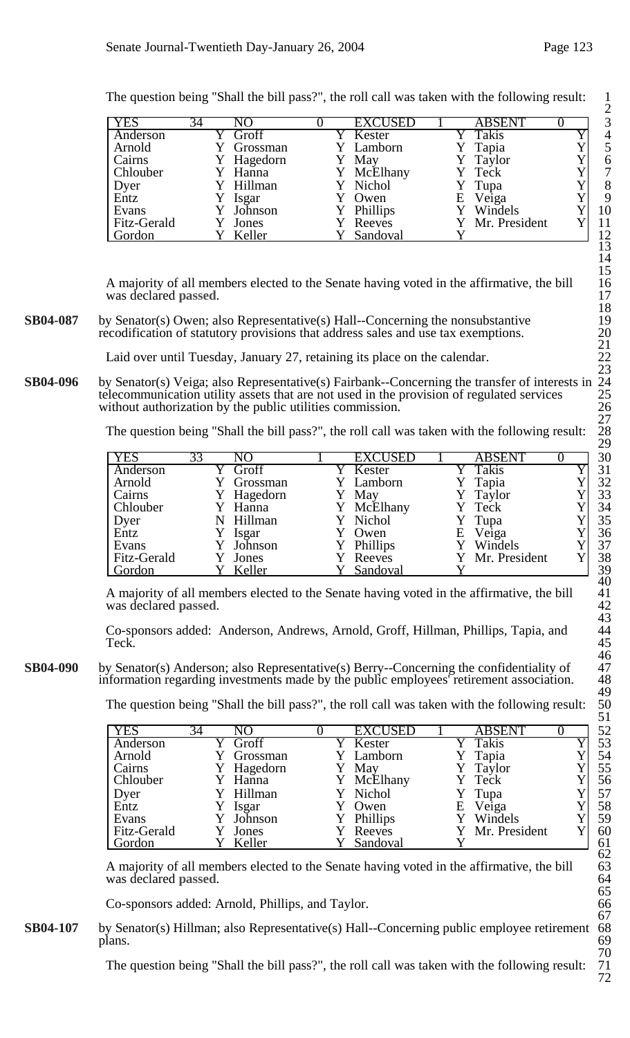|              |    |            |                |   |                 | ∠  |
|--------------|----|------------|----------------|---|-----------------|----|
| <b>YES</b>   | 34 | NΟ         | <b>EXCUSED</b> |   | <b>ABSENT</b>   | 3  |
| Anderson     |    | Groff      | Kester         |   | Takis           | 4  |
| Arnold       |    | Y Grossman | Y Lamborn      |   | Y Tapia         |    |
| Cairns       |    | Y Hagedorn | May            |   | Taylor          | 6  |
| Chlouber     |    | Hanna      | McElhany       |   | Y Teck          | 7  |
|              |    | Y Hillman  | Y Nichol       |   | Y Tupa          | 8  |
| Dyer<br>Entz |    | Y Isgar    | Y Owen         | E | Veiga           | 9  |
| Evans        |    | Johnson    | Phillips       |   | Windels         | 10 |
| Fitz-Gerald  |    | Jones      | Reeves         |   | Y Mr. President |    |
| Gordon       |    | Keller     | Sandoval       |   |                 | 12 |

The question being "Shall the bill pass?", the roll call was taken with the following result: 1

A majority of all members elected to the Senate having voted in the affirmative, the bill 16 was declared passed.

**SB04-087** by Senator(s) Owen; also Representative(s) Hall--Concerning the nonsubstantive recodification of statutory provisions that address sales and use tax exemptions.

Laid over until Tuesday, January 27, retaining its place on the calendar.

**SB04-096** by Senator(s) Veiga; also Representative(s) Fairbank--Concerning the transfer of interests in telecommunication utility assets that are not used in the provision of regulated services 25 without authorization by the public utilities commission.

The question being "Shall the bill pass?", the roll call was taken with the following result:

| <b>YES</b>   | 33 | NО         | <b>EXCUSED</b> |   | <b>ABSENT</b> |  |
|--------------|----|------------|----------------|---|---------------|--|
| Anderson     |    | Y Groff    | Kester         |   | Takis         |  |
| Arnold       |    | Grossman   | Lamborn        |   | Tapia         |  |
| Cairns       |    | Y Hagedorn | May            |   | Taylor        |  |
| Chlouber     |    | Y Hanna    | Y McElhany     |   | Teck          |  |
|              | N  | Hillman    | Y Nichol       |   | Tupa          |  |
| Dyer<br>Entz |    | Isgar      | Owen           | Ε | Veiga         |  |
| Evans        |    | Johnson    | Phillips       |   | Windels       |  |
| Fitz-Gerald  |    | Jones      | Reeves         |   | Mr. President |  |
| Gordon       |    | Keller     | Sandoval       |   |               |  |

A majority of all members elected to the Senate having voted in the affirmative, the bill 41 was declared **passed**.

Co-sponsors added: Anderson, Andrews, Arnold, Groff, Hillman, Phillips, Tapia, and Teck. Teck.  $45$ 

**SB04-090** by Senator(s) Anderson; also Representative(s) Berry--Concerning the confidentiality of information regarding investments made by the public employees' retirement association. 48

The question being "Shall the bill pass?", the roll call was taken with the following result:

| <b>YES</b>   | 34 | NO         | <b>EXCUSED</b> |   | <b>ABSENT</b>   |  |
|--------------|----|------------|----------------|---|-----------------|--|
| Anderson     |    | Y Groff    | Kester         |   | Takis           |  |
| Arnold       |    | Y Grossman | Y Lamborn      |   | Tapia           |  |
| Cairns       |    | Y Hagedorn | May            |   | Y Taylor        |  |
| Chlouber     |    | Y Hanna    | McElhany       |   | Y Teck          |  |
|              |    | Y Hillman  | Y Nichol       |   | Y Tupa          |  |
| Dyer<br>Entz |    | Isgar      | Owen           | Ε | Veiga           |  |
| Evans        |    | Y Johnson  | Phillips       |   | Y Windels       |  |
| Fitz-Gerald  |    | Jones      | Reeves         |   | Y Mr. President |  |
| Gordon       |    | Keller     | Sandoval       |   |                 |  |

A majority of all members elected to the Senate having voted in the affirmative, the bill was declared **passed**.

Co-sponsors added: Arnold, Phillips, and Taylor.

**SB04-107** by Senator(s) Hillman; also Representative(s) Hall--Concerning public employee retirement 68 plans. plans. 69

The question being "Shall the bill pass?", the roll call was taken with the following result: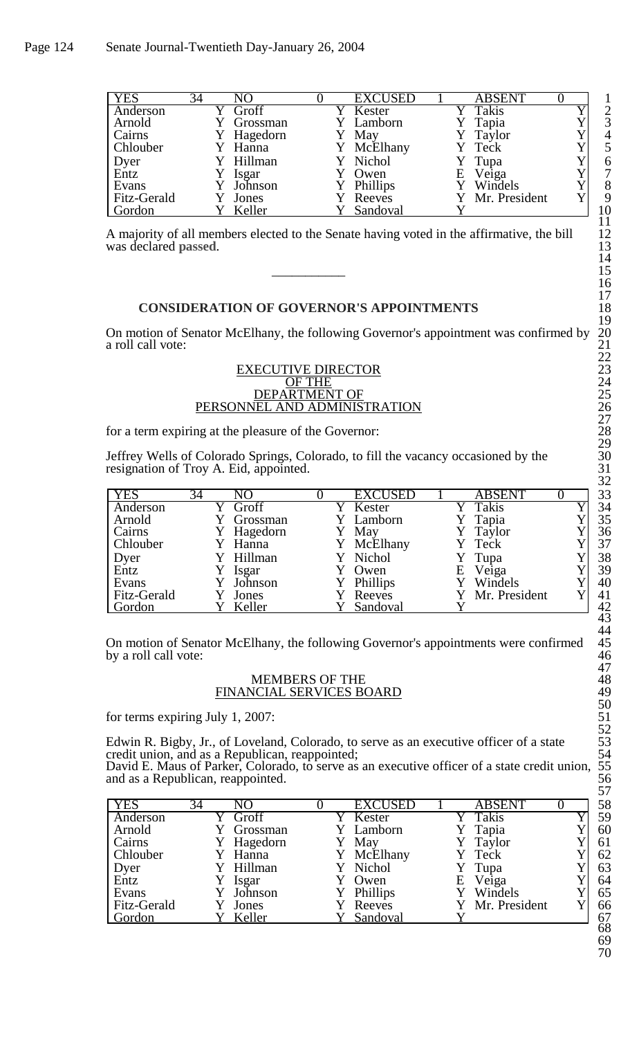| <b>YES</b>   | 34 | NO             | <b>EXCUSED</b> |   | <b>ABSENT</b>   |    |
|--------------|----|----------------|----------------|---|-----------------|----|
| Anderson     |    | Y Groff        | Kester         |   | Takis           |    |
| Arnold       |    | Grossman       | Y Lamborn      |   | Tapia           |    |
| Cairns       |    | Y Hagedorn     | May            |   | Y Taylor        |    |
| Chlouber     |    | Y Hanna        | Y McElhany     |   | Y Teck          |    |
|              |    | Y Hillman      | Y Nichol       |   | Y Tupa          |    |
| Dyer<br>Entz |    | Isgar          | Owen           | Е | Veiga           |    |
| Evans        |    | Sumbas Johnson | Phillips       |   | Y Windels       |    |
| Fitz-Gerald  |    | Jones          | Reeves         |   | Y Mr. President |    |
| Gordon       |    | Keller         | Sandoval       |   |                 | 10 |

A majority of all members elected to the Senate having voted in the affirmative, the bill was declared **passed**.

### **CONSIDERATION OF GOVERNOR'S APPOINTMENTS**

On motion of Senator McElhany, the following Governor's appointment was confirmed by a roll call vote:

#### EXECUTIVE DIRECTOR OF THE 24 DEPARTMENT OF 25 PERSONNEL AND ADMINISTRATION

for a term expiring at the pleasure of the Governor:

Jeffrey Wells of Colorado Springs, Colorado, to fill the vacancy occasioned by the 30 resignation of Troy A. Eid, appointed.

| <b>YES</b>   | 34 | NО        | <b>EXCUSED</b> |   | <b>ABSENT</b>   |  |
|--------------|----|-----------|----------------|---|-----------------|--|
| Anderson     |    | Groff     | Kester         |   | Takis           |  |
| Arnold       |    | Grossman  | Y Lamborn      |   | Tapia           |  |
| Cairns       |    | Hagedorn  | May            |   | Taylor          |  |
| Chlouber     |    | Y Hanna   | McElhany       |   | Y Teck          |  |
|              |    | Y Hillman | Y Nichol       |   | Y Tupa          |  |
| Dyer<br>Entz |    | Isgar     | Owen           | E | Veiga           |  |
| Evans        |    | Johnson   | Phillips       |   | Windels         |  |
| Fitz-Gerald  |    | Jones     | Reeves         |   | Y Mr. President |  |
| Gordon       |    | Keller    | Sandoval       |   |                 |  |

On motion of Senator McElhany, the following Governor's appointments were confirmed by a roll call vote:

### MEMBERS OF THE FINANCIAL SERVICES BOARD

for terms expiring July 1, 2007:

Edwin R. Bigby, Jr., of Loveland, Colorado, to serve as an executive officer of a state credit union, and as a Republican, reappointed;

David E. Maus of Parker, Colorado, to serve as an executive officer of a state credit union, and as a Republican, reappointed. 56

| <b>YES</b>   | $3\overline{4}$ | NΩ       | <b>EXCUSED</b>  |   | <b>ABSENT</b> | 58           |
|--------------|-----------------|----------|-----------------|---|---------------|--------------|
| Anderson     |                 | Groff    | Kester          |   | Takis         | 59           |
| Arnold       |                 | Grossman | Lamborn         |   | Tapia         | 60           |
| Cairns       |                 | Hagedorn | May             |   | Taylor        | 61           |
| Chlouber     |                 | Hanna    | Y McElhany      |   | Y Teck        | 62           |
|              |                 | Hillman  | Nichol          |   | Tupa          | 63           |
| Dyer<br>Entz |                 | Isgar    | Owen            | E | Veiga         | 64           |
| Evans        |                 | Johnson  | <b>Phillips</b> |   | Windels       | 65           |
| Fitz-Gerald  |                 | Jones    | Reeves          |   | Mr. President | 66           |
| Gordon       |                 | Keller   | Sandoval        |   |               | 67<br>$\sim$ |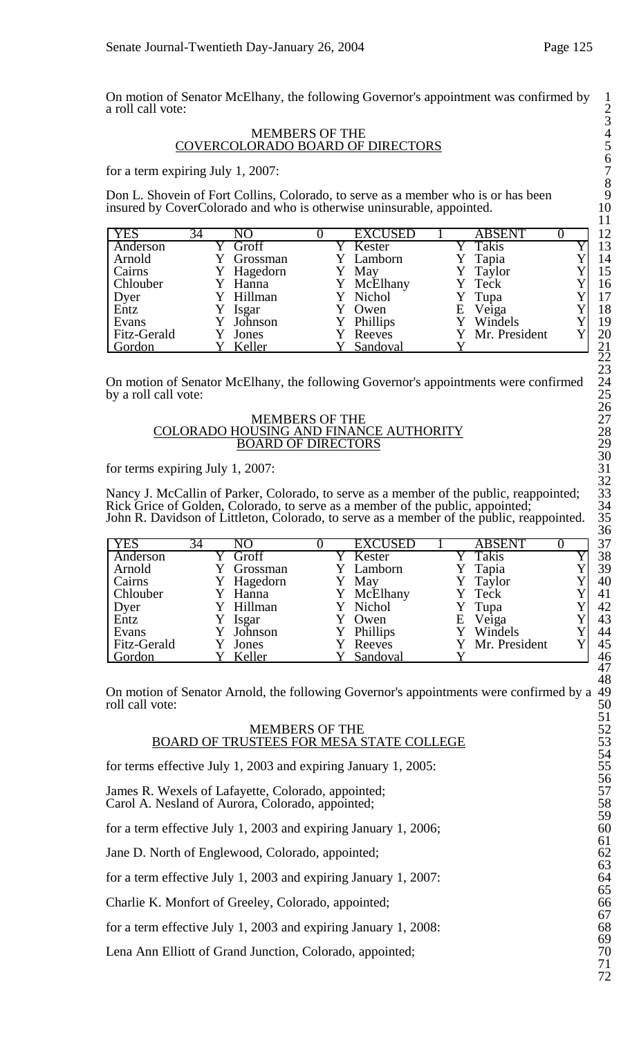On motion of Senator McElhany, the following Governor's appointment was confirmed by 1 a roll call vote:

### MEMBERS OF THE 4 COVERCOLORADO BOARD OF DIRECTORS

for a term expiring July 1, 2007:

Don L. Shovein of Fort Collins, Colorado, to serve as a member who is or has been insured by CoverColorado and who is otherwise uninsurable, appointed.

| <b>YES</b>   | 34 | NO         | <b>EXCUSED</b> |   | <b>ABSENT</b>   |  |
|--------------|----|------------|----------------|---|-----------------|--|
| Anderson     |    | Groff      | Y Kester       |   | Takis           |  |
| Arnold       |    | Grossman   | Y Lamborn      |   | Tapia           |  |
| Cairns       |    | Y Hagedorn | May            |   | Y Taylor        |  |
| Chlouber     |    | Y Hanna    | McElhany       |   | Y Teck          |  |
|              |    | Y Hillman  | Y Nichol       |   | Y Tupa          |  |
| Dyer<br>Entz |    | Isgar      | Owen           | Ε | Veiga           |  |
| Evans        |    | Y Johnson  | Phillips       |   | Y Windels       |  |
| Fitz-Gerald  |    | Jones      | Reeves         |   | Y Mr. President |  |
| Gordon       |    | Keller     | Sandoval       |   |                 |  |

On motion of Senator McElhany, the following Governor's appointments were confirmed by a roll call vote:

#### MEMBERS OF THE COLORADO HOUSING AND FINANCE AUTHORITY **BOARD OF DIRECTORS**

for terms expiring July 1, 2007:

Nancy J. McCallin of Parker, Colorado, to serve as a member of the public, reappointed; Rick Grice of Golden, Colorado, to serve as a member of the public, appointed; John R. Davidson of Littleton, Colorado, to serve as a member of the public, reappointed.

| <b>YES</b>  | 34 | NΩ         | <b>EXCUSED</b> |   | <b>ABSENT</b> |  |
|-------------|----|------------|----------------|---|---------------|--|
| Anderson    |    | Groff      | Kester         |   | Takis         |  |
| Arnold      |    | Grossman   | Y Lamborn      |   | Tapia         |  |
| Cairns      |    | Y Hagedorn | May            |   | Y Taylor      |  |
| Chlouber    |    | Hanna      | McElhany       |   | Teck          |  |
| Dyer        |    | Y Hillman  | Y Nichol       |   | Y Tupa        |  |
| Entz        |    | Isgar      | Owen           | Ε | Veiga         |  |
| Evans       |    | Johnson    | Phillips       |   | Y Windels     |  |
| Fitz-Gerald |    | Jones      | Reeves         |   | Mr. President |  |
| Gordon      |    | Keller     | Sandoval       |   |               |  |

On motion of Senator Arnold, the following Governor's appointments were confirmed by a 49 roll call vote:

#### MEMBERS OF THE BOARD OF TRUSTEES FOR MESA STATE COLLEGE

for terms effective July 1, 2003 and expiring January 1, 2005:

James R. Wexels of Lafayette, Colorado, appointed; Carol A. Nesland of Aurora, Colorado, appointed;

for a term effective July 1, 2003 and expiring January 1, 2006;

Jane D. North of Englewood, Colorado, appointed;

for a term effective July 1, 2003 and expiring January 1, 2007:

Charlie K. Monfort of Greeley, Colorado, appointed; 66

for a term effective July 1, 2003 and expiring January 1, 2008:

Lena Ann Elliott of Grand Junction, Colorado, appointed;  $70$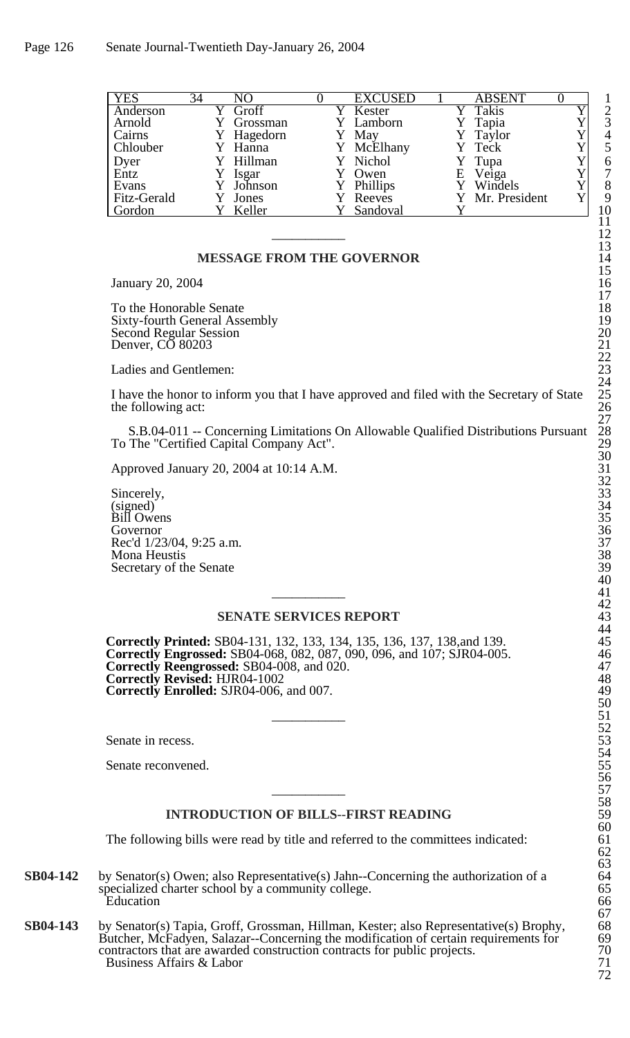| <b>YES</b>   | 34 | NO         | <b>EXCUSED</b> |   | <b>ABSENT</b>   |                |
|--------------|----|------------|----------------|---|-----------------|----------------|
| Anderson     |    | Y Groff    | Y Kester       |   | Takis           | $\overline{2}$ |
| Arnold       |    | Y Grossman | Y Lamborn      |   | Y Tapia         | 3              |
| Cairns       |    | Y Hagedorn | May            |   | Y Taylor        | 4              |
| Chlouber     |    | Y Hanna    | Y McElhany     |   | Y Teck          |                |
| Dyer<br>Entz |    | Y Hillman  | Y Nichol       |   | Y Tupa          | 6              |
|              |    | Isgar      | Owen           | Е | Veiga           | 7              |
| Evans        |    | Y Johnson  | Phillips       |   | Y Windels       | 8              |
| Fitz-Gerald  |    | Jones      | Reeves         |   | Y Mr. President | 9              |
| Gordon       |    | Keller     | Sandoval       |   |                 | 10             |

### **MESSAGE FROM THE GOVERNOR**

January 20, 2004 16

To the Honorable Senate Sixty-fourth General Assembly 19 Second Regular Session Denver, CO 80203

Ladies and Gentlemen:

I have the honor to inform you that I have approved and filed with the Secretary of State the following act:

S.B.04-011 -- Concerning Limitations On Allowable Qualified Distributions Pursuant To The "Certified Capital Company Act".

Approved January 20, 2004 at 10:14 A.M. 31

Sincerely, 33 (signed) 34 Bill Owens 35 Governor 36 Rec'd 1/23/04, 9:25 a.m. Mona Heustis Secretary of the Senate

# **SENATE SERVICES REPORT**

**Correctly Printed:** SB04-131, 132, 133, 134, 135, 136, 137, 138,and 139. 45 **Correctly Engrossed:** SB04-068, 082, 087, 090, 096, and 107; SJR04-005. **Correctly Reengrossed:** SB04-008, and 020. **Correctly Revised:** HJR04-1002 48 **Correctly Enrolled:** SJR04-006, and 007. 49

Senate in recess.

Senate reconvened.

## **INTRODUCTION OF BILLS--FIRST READING**

The following bills were read by title and referred to the committees indicated:

**SB04-142** by Senator(s) Owen; also Representative(s) Jahn--Concerning the authorization of a specialized charter school by a community college.<br>Education Education 66

**SB04-143** by Senator(s) Tapia, Groff, Grossman, Hillman, Kester; also Representative(s) Brophy, 68<br>Butcher, McFadyen, Salazar--Concerning the modification of certain requirements for 69 Butcher, McFadyen, Salazar--Concerning the modification of certain requirements for 69<br>contractors that are awarded construction contracts for public projects. 70 contractors that are awarded construction contracts for public projects. 70<br>Business Affairs & Labor 71 Business Affairs & Labor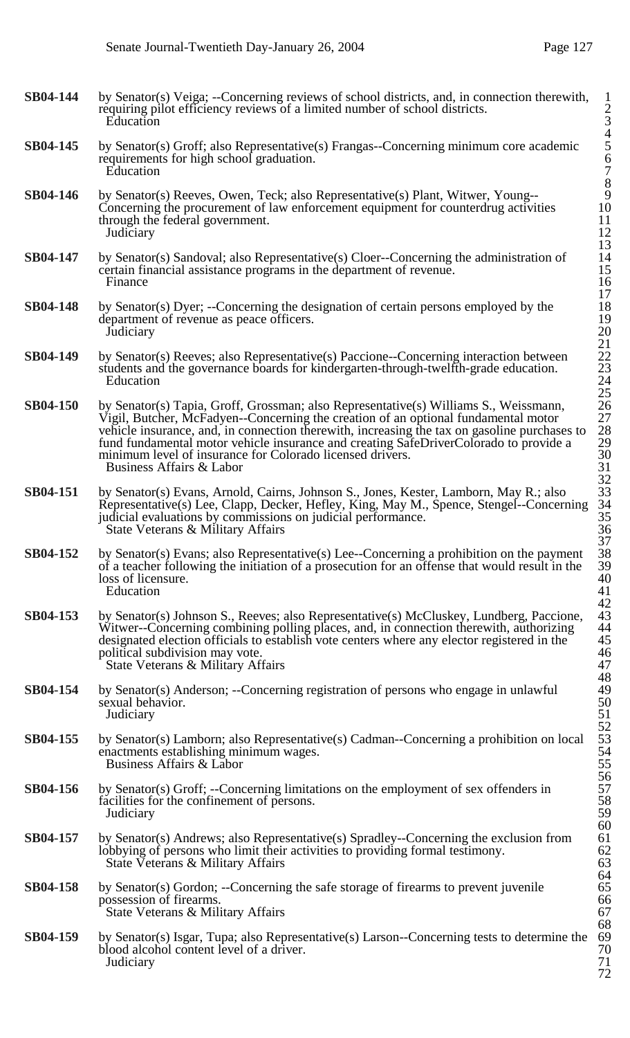72

| <b>SB04-144</b> | by Senator(s) Veiga; --Concerning reviews of school districts, and, in connection therewith,<br>requiring pilot efficiency reviews of a limited number of school districts.<br>Education                                                                                                                                                                                                                                                                     | $\frac{2}{3}$<br>4<br>5                        |
|-----------------|--------------------------------------------------------------------------------------------------------------------------------------------------------------------------------------------------------------------------------------------------------------------------------------------------------------------------------------------------------------------------------------------------------------------------------------------------------------|------------------------------------------------|
| <b>SB04-145</b> | by Senator(s) Groff; also Representative(s) Frangas--Concerning minimum core academic<br>requirements for high school graduation.<br>Education                                                                                                                                                                                                                                                                                                               | $\begin{array}{c} 67 \\ 78 \\ 910 \end{array}$ |
| <b>SB04-146</b> | by Senator(s) Reeves, Owen, Teck; also Representative(s) Plant, Witwer, Young--<br>Concerning the procurement of law enforcement equipment for counterdrug activities<br>through the federal government.<br>Judiciary                                                                                                                                                                                                                                        | 11<br>$\frac{12}{13}$                          |
| <b>SB04-147</b> | by Senator(s) Sandoval; also Representative(s) Cloer--Concerning the administration of<br>certain financial assistance programs in the department of revenue.<br>Finance                                                                                                                                                                                                                                                                                     | 14<br>15<br>16<br>17                           |
| <b>SB04-148</b> | by Senator(s) Dyer; --Concerning the designation of certain persons employed by the<br>department of revenue as peace officers.<br>Judiciary                                                                                                                                                                                                                                                                                                                 | 18<br>19<br>20<br>21                           |
| <b>SB04-149</b> | by Senator(s) Reeves; also Representative(s) Paccione--Concerning interaction between<br>students and the governance boards for kindergarten-through-twelfth-grade education.<br>Education                                                                                                                                                                                                                                                                   | 22<br>23<br>24<br>25                           |
| <b>SB04-150</b> | by Senator(s) Tapia, Groff, Grossman; also Representative(s) Williams S., Weissmann,<br>Vigil, Butcher, McFadyen--Concerning the creation of an optional fundamental motor<br>vehicle insurance, and, in connection therewith, increasing the tax on gasoline purchases to<br>fund fundamental motor vehicle insurance and creating SafeDriverColorado to provide a<br>minimum level of insurance for Colorado licensed drivers.<br>Business Affairs & Labor | 26<br>27<br>28<br>29<br>30<br>31<br>32         |
| <b>SB04-151</b> | by Senator(s) Evans, Arnold, Cairns, Johnson S., Jones, Kester, Lamborn, May R.; also<br>Representative(s) Lee, Clapp, Decker, Hefley, King, May M., Spence, Stengel--Concerning<br>judicial evaluations by commissions on judicial performance.<br>State Veterans & Military Affairs                                                                                                                                                                        | 33<br>34<br>35<br>36<br>37                     |
| SB04-152        | by Senator(s) Evans; also Representative(s) Lee--Concerning a prohibition on the payment<br>of a teacher following the initiation of a prosecution for an offense that would result in the<br>loss of licensure.<br>Education                                                                                                                                                                                                                                | 38<br>39<br>40<br>41<br>42                     |
| <b>SB04-153</b> | by Senator(s) Johnson S., Reeves; also Representative(s) McCluskey, Lundberg, Paccione,<br>Witwer--Concerning combining polling places, and, in connection therewith, authorizing<br>designated election officials to establish vote centers where any elector registered in the<br>political subdivision may vote.<br>State Veterans & Military Affairs                                                                                                     | 43<br>44<br>45<br>46<br>47                     |
| <b>SB04-154</b> | by Senator(s) Anderson; --Concerning registration of persons who engage in unlawful<br>sexual behavior.<br>Judiciary                                                                                                                                                                                                                                                                                                                                         | 48<br>49<br>50<br>51                           |
| <b>SB04-155</b> | by Senator(s) Lamborn; also Representative(s) Cadman--Concerning a prohibition on local<br>enactments establishing minimum wages.<br>Business Affairs & Labor                                                                                                                                                                                                                                                                                                | $\frac{52}{53}$<br>54<br>55<br>56              |
| <b>SB04-156</b> | by Senator(s) Groff; --Concerning limitations on the employment of sex offenders in<br>facilities for the confinement of persons.<br>Judiciary                                                                                                                                                                                                                                                                                                               | 57<br>58<br>59<br>60                           |
| <b>SB04-157</b> | by Senator(s) Andrews; also Representative(s) Spradley--Concerning the exclusion from<br>lobbying of persons who limit their activities to providing formal testimony.<br>State Veterans & Military Affairs                                                                                                                                                                                                                                                  | 61<br>62<br>63<br>64                           |
| <b>SB04-158</b> | by Senator(s) Gordon; --Concerning the safe storage of firearms to prevent juvenile<br>possession of firearms.<br>State Veterans & Military Affairs                                                                                                                                                                                                                                                                                                          | 65<br>66<br>67<br>68                           |
| SB04-159        | by Senator(s) Isgar, Tupa; also Representative(s) Larson--Concerning tests to determine the<br>blood alcohol content level of a driver.<br>Judiciary                                                                                                                                                                                                                                                                                                         | 69<br>70<br>71                                 |